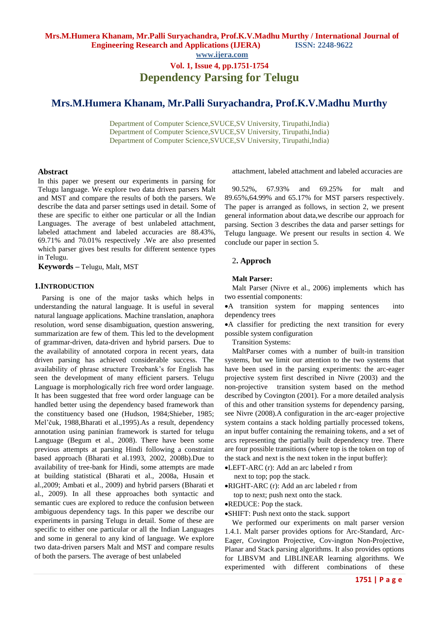# **Mrs.M.Humera Khanam, Mr.Palli Suryachandra, Prof.K.V.Madhu Murthy**

Department of Computer Science,SVUCE,SV University, Tirupathi,India) Department of Computer Science,SVUCE,SV University, Tirupathi,India) Department of Computer Science,SVUCE,SV University, Tirupathi,India)

### **Abstract**

In this paper we present our experiments in parsing for Telugu language. We explore two data driven parsers Malt and MST and compare the results of both the parsers. We describe the data and parser settings used in detail. Some of these are specific to either one particular or all the Indian Languages. The average of best unlabeled attachment, labeled attachment and labeled accuracies are 88.43%, 69.71% and 70.01% respectively .We are also presented which parser gives best results for different sentence types in Telugu.

**Keywords –** Telugu, Malt, MST

### **1.INTRODUCTION**

Parsing is one of the major tasks which helps in understanding the natural language. It is useful in several natural language applications. Machine translation, anaphora resolution, word sense disambiguation, question answering, summarization are few of them. This led to the development of grammar-driven, data-driven and hybrid parsers. Due to the availability of annotated corpora in recent years, data driven parsing has achieved considerable success. The availability of phrase structure Treebank's for English has seen the development of many efficient parsers. Telugu Language is morphologically rich free word order language. It has been suggested that free word order language can be handled better using the dependency based framework than the constituency based one (Hudson, 1984;Shieber, 1985; Mel'čuk, 1988,Bharati et al.,1995).As a result, dependency annotation using paninian framework is started for telugu Language (Begum et al., 2008). There have been some previous attempts at parsing Hindi following a constraint based approach (Bharati et al.1993, 2002, 2008b).Due to availability of tree-bank for Hindi, some attempts are made at building statistical (Bharati et al., 2008a, Husain et al.,2009; Ambati et al., 2009) and hybrid parsers (Bharati et al., 2009). In all these approaches both syntactic and semantic cues are explored to reduce the confusion between ambiguous dependency tags. In this paper we describe our experiments in parsing Telugu in detail. Some of these are specific to either one particular or all the Indian Languages and some in general to any kind of language. We explore two data-driven parsers Malt and MST and compare results of both the parsers. The average of best unlabeled

attachment, labeled attachment and labeled accuracies are

90.52%, 67.93% and 69.25% for malt and 89.65%,64.99% and 65.17% for MST parsers respectively. The paper is arranged as follows, in section 2, we present general information about data,we describe our approach for parsing. Section 3 describes the data and parser settings for Telugu language. We present our results in section 4. We conclude our paper in section 5.

### 2**. Approch**

## **Malt Parser:**

Malt Parser (Nivre et al., 2006) implements which has two essential components:

A transition system for mapping sentences into dependency trees

A classifier for predicting the next transition for every possible system configuration

Transition Systems:

MaltParser comes with a number of built-in transition systems, but we limit our attention to the two systems that have been used in the parsing experiments: the arc-eager projective system first described in Nivre (2003) and the non-projective transition system based on the method described by Covington (2001). For a more detailed analysis of this and other transition systems for dependency parsing, see Nivre (2008).A configuration in the arc-eager projective system contains a stack holding partially processed tokens, an input buffer containing the remaining tokens, and a set of arcs representing the partially built dependency tree. There are four possible transitions (where top is the token on top of the stack and next is the next token in the input buffer):

LEFT-ARC (r): Add an arc labeled r from next to top; pop the stack.

RIGHT-ARC (r): Add an arc labeled r from

top to next; push next onto the stack.

REDUCE: Pop the stack.

SHIFT: Push next onto the stack. support

We performed our experiments on malt parser version 1.4.1. Malt parser provides options for Arc-Standard, Arc-Eager, Covington Projective, Cov-ington Non-Projective, Planar and Stack parsing algorithms. It also provides options for LIBSVM and LIBLINEAR learning algorithms. We experimented with different combinations of these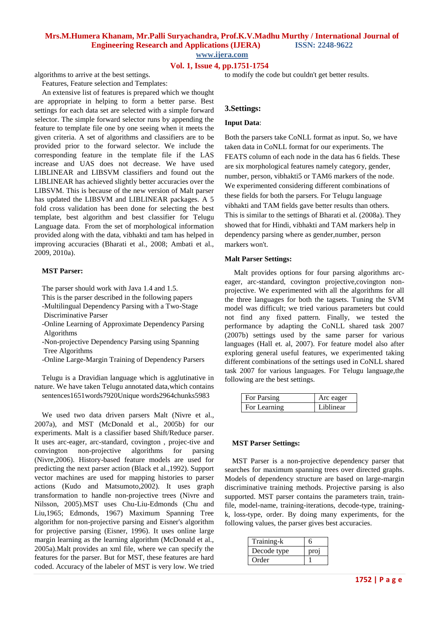**Mrs.M.Humera Khanam, Mr.Palli Suryachandra, Prof.K.V.Madhu Murthy / International Journal of Engineering Research and Applications (IJERA) ISSN: 2248-9622** 

**www.ijera.com**

### **Vol. 1, Issue 4, pp.1751-1754**

algorithms to arrive at the best settings.

Features, Feature selection and Templates:

An extensive list of features is prepared which we thought are appropriate in helping to form a better parse. Best settings for each data set are selected with a simple forward selector. The simple forward selector runs by appending the feature to template file one by one seeing when it meets the given criteria. A set of algorithms and classifiers are to be provided prior to the forward selector. We include the corresponding feature in the template file if the LAS increase and UAS does not decrease. We have used LIBLINEAR and LIBSVM classifiers and found out the LIBLINEAR has achieved slightly better accuracies over the LIBSVM. This is because of the new version of Malt parser has updated the LIBSVM and LIBLINEAR packages. A 5 fold cross validation has been done for selecting the best template, best algorithm and best classifier for Telugu Language data. From the set of morphological information provided along with the data, vibhakti and tam has helped in improving accuracies (Bharati et al., 2008; Ambati et al., 2009, 2010a).

### **MST Parser:**

The parser should work with Java 1.4 and 1.5.

This is the parser described in the following papers

-Multilingual Dependency Parsing with a Two-Stage Discriminative Parser

-Online Learning of Approximate Dependency Parsing Algorithms

-Non-projective Dependency Parsing using Spanning Tree Algorithms

-Online Large-Margin Training of Dependency Parsers

Telugu is a Dravidian language which is agglutinative in nature. We have taken Telugu annotated data,which contains sentences1651words7920Unique words2964chunks5983

We used two data driven parsers Malt (Nivre et al., 2007a), and MST (McDonald et al., 2005b) for our experiments. Malt is a classifier based Shift/Reduce parser. It uses arc-eager, arc-standard, covington , projec-tive and convington non-projective algorithms for parsing (Nivre,2006). History-based feature models are used for predicting the next parser action (Black et al.,1992). Support vector machines are used for mapping histories to parser actions (Kudo and Matsumoto,2002). It uses graph transformation to handle non-projective trees (Nivre and Nilsson, 2005).MST uses Chu-Liu-Edmonds (Chu and Liu,1965; Edmonds, 1967) Maximum Spanning Tree algorithm for non-projective parsing and Eisner's algorithm for projective parsing (Eisner, 1996). It uses online large margin learning as the learning algorithm (McDonald et al., 2005a).Malt provides an xml file, where we can specify the features for the parser. But for MST, these features are hard coded. Accuracy of the labeler of MST is very low. We tried

to modify the code but couldn't get better results.

### **3.Settings:**

#### **Input Data**:

Both the parsers take CoNLL format as input. So, we have taken data in CoNLL format for our experiments. The FEATS column of each node in the data has 6 fields. These are six morphological features namely category, gender, number, person, vibhakti5 or TAM6 markers of the node. We experimented considering different combinations of these fields for both the parsers. For Telugu language vibhakti and TAM fields gave better results than others. This is similar to the settings of Bharati et al. (2008a). They showed that for Hindi, vibhakti and TAM markers help in dependency parsing where as gender,number, person markers won't.

### **Malt Parser Settings:**

Malt provides options for four parsing algorithms arceager, arc-standard, covington projective,covington nonprojective. We experimented with all the algorithms for all the three languages for both the tagsets. Tuning the SVM model was difficult; we tried various parameters but could not find any fixed pattern. Finally, we tested the performance by adapting the CoNLL shared task 2007 (2007b) settings used by the same parser for various languages (Hall et. al, 2007). For feature model also after exploring general useful features, we experimented taking different combinations of the settings used in CoNLL shared task 2007 for various languages. For Telugu language,the following are the best settings.

| <b>For Parsing</b> | Arc eager |
|--------------------|-----------|
| For Learning       | Liblinear |

### **MST Parser Settings:**

MST Parser is a non-projective dependency parser that searches for maximum spanning trees over directed graphs. Models of dependency structure are based on large-margin discriminative training methods. Projective parsing is also supported. MST parser contains the parameters train, trainfile, model-name, training-iterations, decode-type, trainingk, loss-type, order. By doing many experiments, for the following values, the parser gives best accuracies.

| Training-k  | h    |
|-------------|------|
| Decode type | pro. |
| Order       |      |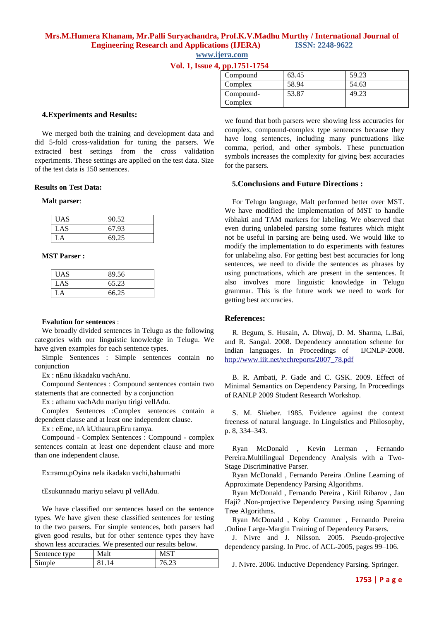# **Mrs.M.Humera Khanam, Mr.Palli Suryachandra, Prof.K.V.Madhu Murthy / International Journal of Engineering Research and Applications (IJERA) ISSN: 2248-9622**

**www.ijera.com**

|  | Vol. 1, Issue 4, pp.1751-1754 |  |
|--|-------------------------------|--|

| Compound  | 63.45 | 59.23 |
|-----------|-------|-------|
| Complex   | 58.94 | 54.63 |
| Compound- | 53.87 | 49.23 |
| Complex   |       |       |

### **4.Experiments and Results:**

We merged both the training and development data and did 5-fold cross-validation for tuning the parsers. We extracted best settings from the cross validation experiments. These settings are applied on the test data. Size of the test data is 150 sentences.

#### **Results on Test Data:**

### **Malt parser**:

| <b>UAS</b> | 90.52 |
|------------|-------|
| LAS        | 67.93 |
| L A        | 69.25 |

### **MST Parser :**

| <b>UAS</b> | 89.56 |
|------------|-------|
| LAS        | 65.23 |
| LA.        | 66.25 |

### **Evalution for sentences** :

We broadly divided sentences in Telugu as the following categories with our linguistic knowledge in Telugu. We have given examples for each sentence types.

Simple Sentences : Simple sentences contain no conjunction

Ex : nEnu ikkadaku vachAnu.

Compound Sentences : Compound sentences contain two statements that are connected by a conjunction

Ex : athanu vachAdu mariyu tirigi vellAdu.

Complex Sentences :Complex sentences contain a dependent clause and at least one independent clause.

Ex : eEme, nA kUthauru,pEru ramya.

Compound - Complex Sentences : Compound - complex sentences contain at least one dependent clause and more than one independent clause.

Ex:ramu,pOyina nela ikadaku vachi,bahumathi

tEsukunnadu mariyu selavu pI vellAdu.

We have classified our sentences based on the sentence types. We have given these classified sentences for testing to the two parsers. For simple sentences, both parsers had given good results, but for other sentence types they have shown less accuracies. We presented our results below.

| Sentence type | Malt | <b>MST</b> |
|---------------|------|------------|
| Simple        |      |            |

we found that both parsers were showing less accuracies for complex, compound-complex type sentences because they have long sentences, including many punctuations like comma, period, and other symbols. These punctuation symbols increases the complexity for giving best accuracies for the parsers.

### **5.Conclusions and Future Directions :**

For Telugu language, Malt performed better over MST. We have modified the implementation of MST to handle vibhakti and TAM markers for labeling. We observed that even during unlabeled parsing some features which might not be useful in parsing are being used. We would like to modify the implementation to do experiments with features for unlabeling also. For getting best best accuracies for long sentences, we need to divide the sentences as phrases by using punctuations, which are present in the sentences. It also involves more linguistic knowledge in Telugu grammar. This is the future work we need to work for getting best accuracies.

### **References:**

R. Begum, S. Husain, A. Dhwaj, D. M. Sharma, L.Bai, and R. Sangal. 2008. Dependency annotation scheme for Indian languages. In Proceedings of IJCNLP-2008. http://www.iiit.net/techreports/2007\_78.pdf

B. R. Ambati, P. Gade and C. GSK. 2009. Effect of Minimal Semantics on Dependency Parsing. In Proceedings of RANLP 2009 Student Research Workshop.

S. M. Shieber. 1985. Evidence against the context freeness of natural language. In Linguistics and Philosophy, p. 8, 334–343.

Ryan McDonald , Kevin Lerman , Fernando Pereira.Multilingual Dependency Analysis with a Two-Stage Discriminative Parser.

Ryan McDonald , Fernando Pereira .Online Learning of Approximate Dependency Parsing Algorithms.

Ryan McDonald , Fernando Pereira , Kiril Ribarov , Jan Haji? .Non-projective Dependency Parsing using Spanning Tree Algorithms.

Ryan McDonald , Koby Crammer , Fernando Pereira .Online Large-Margin Training of Dependency Parsers.

J. Nivre and J. Nilsson. 2005. Pseudo-projective dependency parsing. In Proc. of ACL-2005, pages 99–106.

J. Nivre. 2006. Inductive Dependency Parsing. Springer.